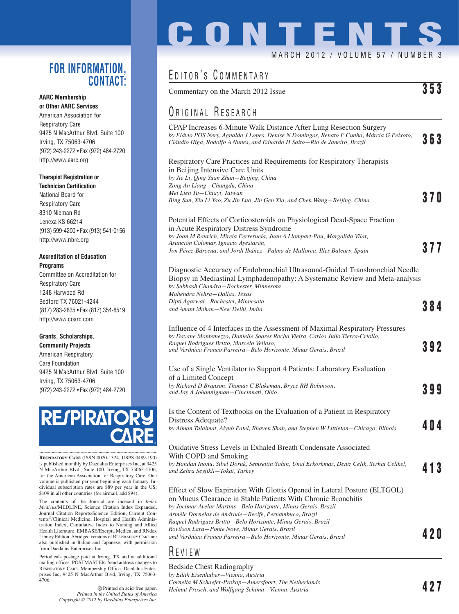### **FOR INFORMATION, CONTACT:**

#### **AARC Membership or Other AARC Services**

American Association for Respiratory Care 9425 N MacArthur Blvd, Suite 100 Irving, TX 75063-4706 (972) 243-2272 • Fax (972) 484-2720 http://www.aarc.org

#### **Therapist Registration or**

**Technician Certification** National Board for Respiratory Care 8310 Nieman Rd Lenexa KS 66214 (913) 599-4200 • Fax (913) 541-0156 http://www.nbrc.org

#### **Accreditation of Education Programs**

Committee on Accreditation for Respiratory Care 1248 Harwood Rd Bedford TX 76021-4244 (817) 283-2835 • Fax (817) 354-8519 http://www.coarc.com

#### **Grants, Scholarships, Community Projects**

American Respiratory Care Foundation 9425 N MacArthur Blvd, Suite 100 Irving, TX 75063-4706 (972) 243-2272 • Fax (972) 484-2720



**RESPIRATORY CARE** (ISSN 0020-1324, USPS 0489-190) is published monthly by Daedalus Enterprises Inc, at 9425 N MacArthur Blvd., Suite 100, Irving, TX 75063-4706, for the American Association for Respiratory Care. One volume is published per year beginning each January. Individual subscription rates are \$89 per year in the US; \$109 in all other countries (for airmail, add \$94).

The contents of the Journal are indexed in *Index Medicus*/MEDLINE, Science Citation Index Expanded, Journal Citation Reports/Science Edition, Current Contents®/Clinical Medicine, Hospital and Health Administration Index, Cumulative Index to Nursing and Allied Health Literature, EMBASE/Exerpta Medica, and RNdex Library Edition. Abridged versions of RESPIRATORY CARE are also published in Italian and Japanese, with permission from Daedalus Enterprises Inc.

Periodicals postage paid at Irving, TX and at additional mailing offices. POSTMASTER: Send address changes to RESPIRATORY CARE, Membership Office, Daedalus Enterprises Inc, 9425 N MacArthur Blvd, Irving, TX 75063- 4706

> Printed on acid-free paper. *Printed in the United States of America Copyright © 2012 by Daedalus Enterprises Inc.*

# **CONTENT**

#### MARCH 2012 / VOLUME 57 / NUMBER 3

# EDITOR'S COMMENTARY

| Commentary on the March 2012 Issue | 353 |
|------------------------------------|-----|
|------------------------------------|-----|

## ORIGINAL RESEARCH

CPAP Increases 6-Minute Walk Distance After Lung Resection Surgery *by Flávio POS Nery, Agnaldo J Lopes, Denise N Domingos, Renato F Cunha, Márcia G Peixoto, Cláudio Higa, Rodolfo A Nunes, and Eduardo H Saito—Rio de Janeiro, Brazil* **363**

#### Respiratory Care Practices and Requirements for Respiratory Therapists in Beijing Intensive Care Units *by Jie Li, Qing Yuan Zhan—Beijing, China*

*Zong An Liang—Changdu, China Mei Lien Tu—Chiayi, Taiwan Bing Sun, Xiu Li Yao, Zu Jin Luo, Jin Gen Xia, and Chen Wang—Beijing, China* **370**

#### Potential Effects of Corticosteroids on Physiological Dead-Space Fraction

in Acute Respiratory Distress Syndrome *by Joan M Raurich, Mireia Ferreruela, Juan A Llompart-Pou, Margalida Vilar, Asunción Colomar, Ignacio Ayestarán, Jon Pérez-Bárcena, and Jordi Ibáñez—Palma de Mallorca, Illes Balears, Spain* **377**

#### Diagnostic Accuracy of Endobronchial Ultrasound-Guided Transbronchial Needle Biopsy in Mediastinal Lymphadenopathy: A Systematic Review and Meta-analysis *by Subhash Chandra—Rochester, Minnesota Mahendra Nehra—Dallas, Texas*

*Dipti Agarwal—Rochester, Minnesota and Anant Mohan—New Delhi, India* **384** Influence of 4 Interfaces in the Assessment of Maximal Respiratory Pressures *by Dayane Montemezzo, Danielle Soares Rocha Vieira, Carlos Julio Tierra-Criollo, Raquel Rodrigues Britto, Marcelo Velloso, and Verônica Franco Parreira—Belo Horizonte, Minas Gerais, Brazil* **392** Use of a Single Ventilator to Support 4 Patients: Laboratory Evaluation of a Limited Concept *by Richard D Branson, Thomas C Blakeman, Bryce RH Robinson, and Jay A Johannigman—Cincinnati, Ohio* **399** Is the Content of Textbooks on the Evaluation of a Patient in Respiratory Distress Adequate? *by Aiman Tulaimat, Aiyub Patel, Bhaven Shah, and Stephen W Littleton—Chicago, Illinois* **404** Oxidative Stress Levels in Exhaled Breath Condensate Associated With COPD and Smoking *by Handan Inonu, Sibel Doruk, Semsettin Sahin, Unal Erkorkmaz, Deniz Celik, Serhat Celikel, and Zehra Seyfikli—Tokat, Turkey* **413** Effect of Slow Expiration With Glottis Opened in Lateral Posture (ELTGOL) on Mucus Clearance in Stable Patients With Chronic Bronchitis

*by Jocimar Avelar Martins—Belo Horizonte, Minas Gerais, Brazil Armèle Dornelas de Andrade—Recife, Pernambuco, Brazil Raquel Rodrigues Britto—Belo Horizonte, Minas Gerais, Brazil Rovilson Lara—Ponte Nove, Minas Gerais, Brazil and Verônica Franco Parreira—Belo Horizonte, Minas Gerais, Brazil* **420**

## R EVIEW

Bedside Chest Radiography

*by Edith Eisenhuber—Vienna, Austria Cornelia M Schaefer-Prokop—Amersfoort, The Netherlands Helmut Prosch, and Wolfgang Schima—Vienna, Austria* **427**